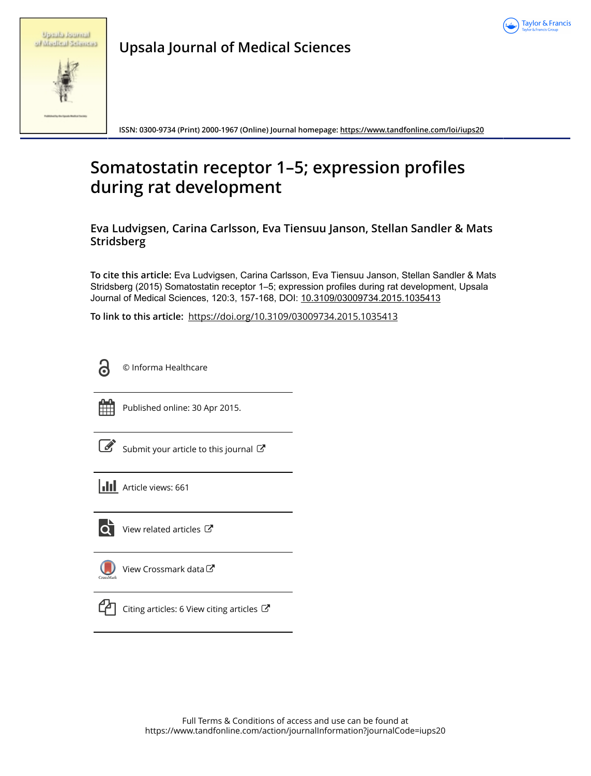

|  | <b>Uppublicational</b> |
|--|------------------------|
|  | of Madical Sciences    |

**Upsala Journal of Medical Sciences**

**ISSN: 0300-9734 (Print) 2000-1967 (Online) Journal homepage:<https://www.tandfonline.com/loi/iups20>**

# **Somatostatin receptor 1–5; expression profiles during rat development**

**Eva Ludvigsen, Carina Carlsson, Eva Tiensuu Janson, Stellan Sandler & Mats Stridsberg**

**To cite this article:** Eva Ludvigsen, Carina Carlsson, Eva Tiensuu Janson, Stellan Sandler & Mats Stridsberg (2015) Somatostatin receptor 1–5; expression profiles during rat development, Upsala Journal of Medical Sciences, 120:3, 157-168, DOI: [10.3109/03009734.2015.1035413](https://www.tandfonline.com/action/showCitFormats?doi=10.3109/03009734.2015.1035413)

**To link to this article:** <https://doi.org/10.3109/03009734.2015.1035413>



© Informa Healthcare



Published online: 30 Apr 2015.

[Submit your article to this journal](https://www.tandfonline.com/action/authorSubmission?journalCode=iups20&show=instructions)  $\mathbb{Z}$ 





 $\overrightarrow{Q}$  [View related articles](https://www.tandfonline.com/doi/mlt/10.3109/03009734.2015.1035413)  $\overrightarrow{C}$ 





[Citing articles: 6 View citing articles](https://www.tandfonline.com/doi/citedby/10.3109/03009734.2015.1035413#tabModule)  $\mathbb{Z}$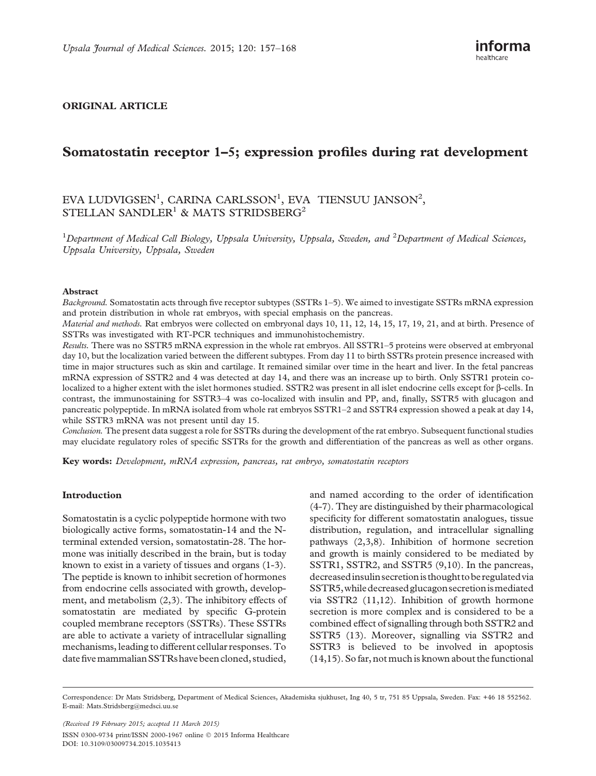# ORIGINAL ARTICLE

# Somatostatin receptor 1–5; expression profiles during rat development

# EVA LUDVIGSEN<sup>1</sup>, CARINA CARLSSON<sup>1</sup>, EVA TIENSUU JANSON<sup>2</sup>, STELLAN SANDLER<sup>1</sup> & MATS STRIDSBERG<sup>2</sup>

<sup>1</sup>Department of Medical Cell Biology, Uppsala University, Uppsala, Sweden, and <sup>2</sup>Department of Medical Sciences, Uppsala University, Uppsala, Sweden

#### Abstract

Background. Somatostatin acts through five receptor subtypes (SSTRs 1–5). We aimed to investigate SSTRs mRNA expression and protein distribution in whole rat embryos, with special emphasis on the pancreas.

Material and methods. Rat embryos were collected on embryonal days 10, 11, 12, 14, 15, 17, 19, 21, and at birth. Presence of SSTRs was investigated with RT-PCR techniques and immunohistochemistry.

Results. There was no SSTR5 mRNA expression in the whole rat embryos. All SSTR1–5 proteins were observed at embryonal day 10, but the localization varied between the different subtypes. From day 11 to birth SSTRs protein presence increased with time in major structures such as skin and cartilage. It remained similar over time in the heart and liver. In the fetal pancreas mRNA expression of SSTR2 and 4 was detected at day 14, and there was an increase up to birth. Only SSTR1 protein colocalized to a higher extent with the islet hormones studied. SSTR2 was present in all islet endocrine cells except for  $\beta$ -cells. In contrast, the immunostaining for SSTR3–4 was co-localized with insulin and PP, and, finally, SSTR5 with glucagon and pancreatic polypeptide. In mRNA isolated from whole rat embryos SSTR1–2 and SSTR4 expression showed a peak at day 14, while SSTR3 mRNA was not present until day 15.

Conclusion. The present data suggest a role for SSTRs during the development of the rat embryo. Subsequent functional studies may elucidate regulatory roles of specific SSTRs for the growth and differentiation of the pancreas as well as other organs.

Key words: Development, mRNA expression, pancreas, rat embryo, somatostatin receptors

### Introduction

Somatostatin is a cyclic polypeptide hormone with two biologically active forms, somatostatin-14 and the Nterminal extended version, somatostatin-28. The hormone was initially described in the brain, but is today known to exist in a variety of tissues and organs ([1](#page-11-0)-[3](#page-11-0)). The peptide is known to inhibit secretion of hormones from endocrine cells associated with growth, development, and metabolism ([2](#page-11-0),[3](#page-11-0)). The inhibitory effects of somatostatin are mediated by specific G-protein coupled membrane receptors (SSTRs). These SSTRs are able to activate a variety of intracellular signalling mechanisms, leading to different cellular responses. To date five mammalian SSTRs have been cloned, studied,

and named according to the order of identification [\(4-7\)](#page-11-0). They are distinguished by their pharmacological specificity for different somatostatin analogues, tissue distribution, regulation, and intracellular signalling pathways [\(2,3,8](#page-11-0)). Inhibition of hormone secretion and growth is mainly considered to be mediated by SSTR1, SSTR2, and SSTR5 ([9,10\)](#page-11-0). In the pancreas, decreasedinsulin secretionis thought tobe regulatedvia SSTR5,whiledecreased glucagonsecretionismediated via SSTR2 ([11](#page-11-0)[,12\)](#page-12-0). Inhibition of growth hormone secretion is more complex and is considered to be a combined effect of signalling through both SSTR2 and SSTR5 [\(13](#page-12-0)). Moreover, signalling via SSTR2 and SSTR3 is believed to be involved in apoptosis [\(14,15\)](#page-12-0). So far, not much is known about the functional

(Received 19 February 2015; accepted 11 March 2015) ISSN 0300-9734 print/ISSN 2000-1967 online © 2015 Informa Healthcare DOI: 10.3109/03009734.2015.1035413

Correspondence: Dr Mats Stridsberg, Department of Medical Sciences, Akademiska sjukhuset, Ing 40, 5 tr, 751 85 Uppsala, Sweden. Fax: +46 18 552562. E-mail: [Mats.Stridsberg@medsci.uu.se](mailto:Mats.Stridsberg@medsci.uu.se)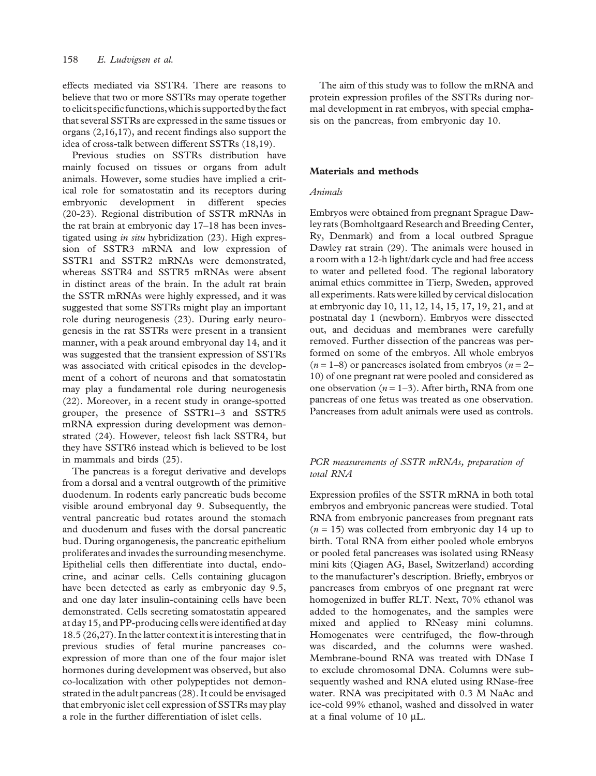effects mediated via SSTR4. There are reasons to believe that two or more SSTRs may operate together to elicit specific functions, whichis supported by the fact that several SSTRs are expressed in the same tissues or organs [\(2,](#page-11-0)[16,17\)](#page-12-0), and recent findings also support the idea of cross-talk between different SSTRs ([18,19](#page-12-0)).

Previous studies on SSTRs distribution have mainly focused on tissues or organs from adult animals. However, some studies have implied a critical role for somatostatin and its receptors during embryonic development in different species ([20](#page-12-0)-[23\)](#page-12-0). Regional distribution of SSTR mRNAs in the rat brain at embryonic day 17–18 has been investigated using in situ hybridization [\(23](#page-12-0)). High expression of SSTR3 mRNA and low expression of SSTR1 and SSTR2 mRNAs were demonstrated, whereas SSTR4 and SSTR5 mRNAs were absent in distinct areas of the brain. In the adult rat brain the SSTR mRNAs were highly expressed, and it was suggested that some SSTRs might play an important role during neurogenesis ([23](#page-12-0)). During early neurogenesis in the rat SSTRs were present in a transient manner, with a peak around embryonal day 14, and it was suggested that the transient expression of SSTRs was associated with critical episodes in the development of a cohort of neurons and that somatostatin may play a fundamental role during neurogenesis ([22](#page-12-0)). Moreover, in a recent study in orange-spotted grouper, the presence of SSTR1–3 and SSTR5 mRNA expression during development was demonstrated ([24](#page-12-0)). However, teleost fish lack SSTR4, but they have SSTR6 instead which is believed to be lost in mammals and birds ([25](#page-12-0)).

The pancreas is a foregut derivative and develops from a dorsal and a ventral outgrowth of the primitive duodenum. In rodents early pancreatic buds become visible around embryonal day 9. Subsequently, the ventral pancreatic bud rotates around the stomach and duodenum and fuses with the dorsal pancreatic bud. During organogenesis, the pancreatic epithelium proliferates and invades the surrounding mesenchyme. Epithelial cells then differentiate into ductal, endocrine, and acinar cells. Cells containing glucagon have been detected as early as embryonic day 9.5, and one day later insulin-containing cells have been demonstrated. Cells secreting somatostatin appeared at day 15, and PP-producing cells were identified at day 18.5 [\(26,27\)](#page-12-0). In the latter context it is interesting that in previous studies of fetal murine pancreases coexpression of more than one of the four major islet hormones during development was observed, but also co-localization with other polypeptides not demonstrated in the adult pancreas ([28\)](#page-12-0). It could be envisaged that embryonic islet cell expression of SSTRs may play a role in the further differentiation of islet cells.

The aim of this study was to follow the mRNA and protein expression profiles of the SSTRs during normal development in rat embryos, with special emphasis on the pancreas, from embryonic day 10.

# Materials and methods

#### Animals

Embryos were obtained from pregnant Sprague Dawley rats (Bomholtgaard Research and Breeding Center, Ry, Denmark) and from a local outbred Sprague Dawley rat strain ([29](#page-12-0)). The animals were housed in a room with a 12-h light/dark cycle and had free access to water and pelleted food. The regional laboratory animal ethics committee in Tierp, Sweden, approved all experiments. Rats were killed by cervical dislocation at embryonic day 10, 11, 12, 14, 15, 17, 19, 21, and at postnatal day 1 (newborn). Embryos were dissected out, and deciduas and membranes were carefully removed. Further dissection of the pancreas was performed on some of the embryos. All whole embryos  $(n = 1-8)$  or pancreases isolated from embryos  $(n = 2-$ 10) of one pregnant rat were pooled and considered as one observation ( $n = 1-3$ ). After birth, RNA from one pancreas of one fetus was treated as one observation. Pancreases from adult animals were used as controls.

#### PCR measurements of SSTR mRNAs, preparation of total RNA

Expression profiles of the SSTR mRNA in both total embryos and embryonic pancreas were studied. Total RNA from embryonic pancreases from pregnant rats  $(n = 15)$  was collected from embryonic day 14 up to birth. Total RNA from either pooled whole embryos or pooled fetal pancreases was isolated using RNeasy mini kits (Qiagen AG, Basel, Switzerland) according to the manufacturer's description. Briefly, embryos or pancreases from embryos of one pregnant rat were homogenized in buffer RLT. Next, 70% ethanol was added to the homogenates, and the samples were mixed and applied to RNeasy mini columns. Homogenates were centrifuged, the flow-through was discarded, and the columns were washed. Membrane-bound RNA was treated with DNase I to exclude chromosomal DNA. Columns were subsequently washed and RNA eluted using RNase-free water. RNA was precipitated with 0.3 M NaAc and ice-cold 99% ethanol, washed and dissolved in water at a final volume of 10 µL.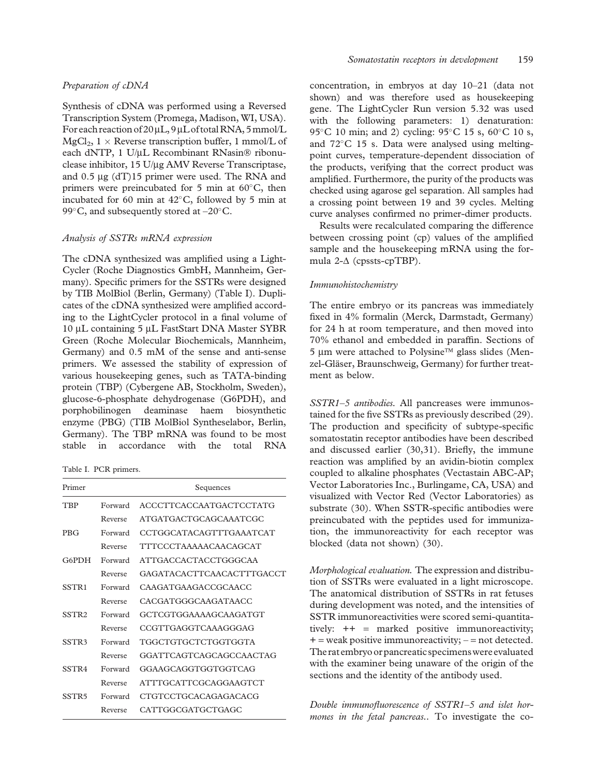#### Preparation of cDNA

Synthesis of cDNA was performed using a Reversed Transcription System (Promega, Madison, WI, USA). For each reaction of 20µL, 9µL of total RNA, 5 mmol/L  $MgCl<sub>2</sub>$ ,  $1 \times$  Reverse transcription buffer, 1 mmol/L of each dNTP, 1 U/µL Recombinant RNasin® ribonuclease inhibitor, 15 U/µg AMV Reverse Transcriptase, and  $0.5 \mu$ g (dT)15 primer were used. The RNA and primers were preincubated for 5 min at  $60^{\circ}$ C, then incubated for 60 min at  $42^{\circ}$ C, followed by 5 min at 99 $\degree$ C, and subsequently stored at  $-20\degree$ C.

#### Analysis of SSTRs mRNA expression

The cDNA synthesized was amplified using a Light-Cycler (Roche Diagnostics GmbH, Mannheim, Germany). Specific primers for the SSTRs were designed by TIB MolBiol (Berlin, Germany) (Table I). Duplicates of the cDNA synthesized were amplified according to the LightCycler protocol in a final volume of 10 µL containing 5 µL FastStart DNA Master SYBR Green (Roche Molecular Biochemicals, Mannheim, Germany) and 0.5 mM of the sense and anti-sense primers. We assessed the stability of expression of various housekeeping genes, such as TATA-binding protein (TBP) (Cybergene AB, Stockholm, Sweden), glucose-6-phosphate dehydrogenase (G6PDH), and porphobilinogen deaminase haem biosynthetic enzyme (PBG) (TIB MolBiol Syntheselabor, Berlin, Germany). The TBP mRNA was found to be most stable in accordance with the total RNA

Table I. PCR primers.

| Primer            |         | Sequences                      |
|-------------------|---------|--------------------------------|
| TRP               | Forward | ACCCTTCACCAATGACTCCTATG        |
|                   | Reverse | ATGATGACTGCAGCAAATCGC          |
| <b>PRG</b>        | Forward | <b>CCTGGCATACAGTTTGAAATCAT</b> |
|                   | Reverse | <b>TTTCCCTAAAAACAACAGCAT</b>   |
| G6PDH             | Forward | ATTGACCACTACCTGGGCAA           |
|                   | Reverse | GAGATACACTTCAACACTTTGACCT      |
| SSTR <sub>1</sub> | Forward | CAAGATGAAGACCGCAACC            |
|                   | Reverse | CACGATGGGCAAGATAACC            |
| SSTR <sub>2</sub> | Forward | GCTCGTGGAAAAGCAAGATGT          |
|                   | Reverse | CCGTTGAGGTCAAAGGGAG            |
| SSTR3             | Forward | TGGCTGTGCTCTGGTGGTA            |
|                   | Reverse | GGATTCAGTCAGCAGCCAACTAG        |
| SSTR4             | Forward | GGAAGCAGGTGGTGGTCAG            |
|                   | Reverse | <b>ATTTGCATTCGCAGGAAGTCT</b>   |
| SSTR <sub>5</sub> | Forward | CTGTCCTGCACAGAGACACG           |
|                   | Reverse | CATTGGCGATGCTGAGC              |

concentration, in embryos at day 10–21 (data not shown) and was therefore used as housekeeping gene. The LightCycler Run version 5.32 was used with the following parameters: 1) denaturation: 95 °C 10 min; and 2) cycling: 95 °C 15 s, 60 °C 10 s, and  $72^{\circ}$ C 15 s. Data were analysed using meltingpoint curves, temperature-dependent dissociation of the products, verifying that the correct product was amplified. Furthermore, the purity of the products was checked using agarose gel separation. All samples had a crossing point between 19 and 39 cycles. Melting curve analyses confirmed no primer-dimer products.

Results were recalculated comparing the difference between crossing point (cp) values of the amplified sample and the housekeeping mRNA using the formula 2- $\Delta$  (cpssts-cpTBP).

#### Immunohistochemistry

The entire embryo or its pancreas was immediately fixed in 4% formalin (Merck, Darmstadt, Germany) for 24 h at room temperature, and then moved into 70% ethanol and embedded in paraffin. Sections of  $5 \mu m$  were attached to Polysine<sup>TM</sup> glass slides (Menzel-Gläser, Braunschweig, Germany) for further treatment as below.

SSTR1–5 antibodies. All pancreases were immunostained for the five SSTRs as previously described [\(29\)](#page-12-0). The production and specificity of subtype-specific somatostatin receptor antibodies have been described and discussed earlier [\(30,31\)](#page-12-0). Briefly, the immune reaction was amplified by an avidin-biotin complex coupled to alkaline phosphates (Vectastain ABC-AP; Vector Laboratories Inc., Burlingame, CA, USA) and visualized with Vector Red (Vector Laboratories) as substrate [\(30](#page-12-0)). When SSTR-specific antibodies were preincubated with the peptides used for immunization, the immunoreactivity for each receptor was blocked (data not shown) [\(30\)](#page-12-0).

Morphological evaluation. The expression and distribution of SSTRs were evaluated in a light microscope. The anatomical distribution of SSTRs in rat fetuses during development was noted, and the intensities of SSTR immunoreactivities were scored semi-quantitatively: ++ = marked positive immunoreactivity;  $+=$  weak positive immunoreactivity;  $=$  = not detected. The rat embryo or pancreatic specimens were evaluated with the examiner being unaware of the origin of the sections and the identity of the antibody used.

Double immunofluorescence of SSTR1–5 and islet hormones in the fetal pancreas.. To investigate the co-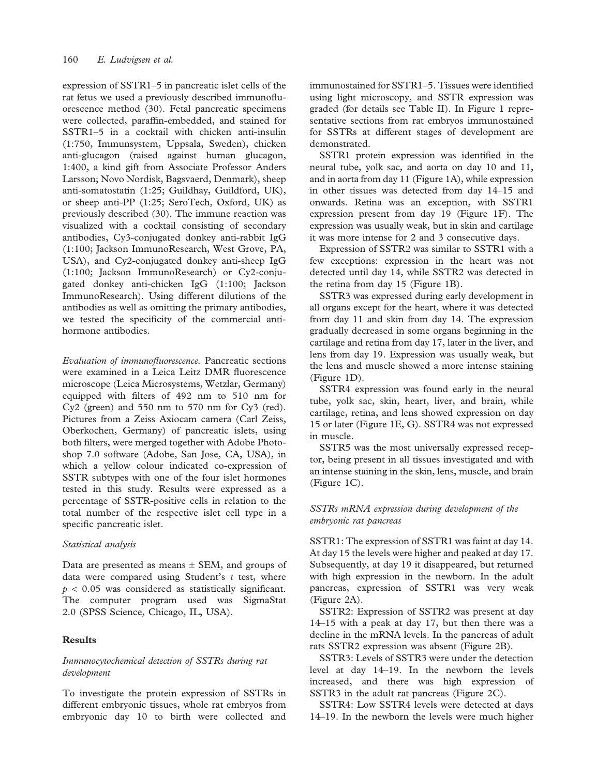expression of SSTR1–5 in pancreatic islet cells of the rat fetus we used a previously described immunofluorescence method ([30](#page-12-0)). Fetal pancreatic specimens were collected, paraffin-embedded, and stained for SSTR1–5 in a cocktail with chicken anti-insulin (1:750, Immunsystem, Uppsala, Sweden), chicken anti-glucagon (raised against human glucagon, 1:400, a kind gift from Associate Professor Anders Larsson; Novo Nordisk, Bagsvaerd, Denmark), sheep anti-somatostatin (1:25; Guildhay, Guildford, UK), or sheep anti-PP (1:25; SeroTech, Oxford, UK) as previously described ([30\)](#page-12-0). The immune reaction was visualized with a cocktail consisting of secondary antibodies, Cy3-conjugated donkey anti-rabbit IgG (1:100; Jackson ImmunoResearch, West Grove, PA, USA), and Cy2-conjugated donkey anti-sheep IgG (1:100; Jackson ImmunoResearch) or Cy2-conjugated donkey anti-chicken IgG (1:100; Jackson ImmunoResearch). Using different dilutions of the antibodies as well as omitting the primary antibodies, we tested the specificity of the commercial antihormone antibodies.

Evaluation of immunofluorescence. Pancreatic sections were examined in a Leica Leitz DMR fluorescence microscope (Leica Microsystems, Wetzlar, Germany) equipped with filters of 492 nm to 510 nm for Cy2 (green) and 550 nm to 570 nm for Cy3 (red). Pictures from a Zeiss Axiocam camera (Carl Zeiss, Oberkochen, Germany) of pancreatic islets, using both filters, were merged together with Adobe Photoshop 7.0 software (Adobe, San Jose, CA, USA), in which a yellow colour indicated co-expression of SSTR subtypes with one of the four islet hormones tested in this study. Results were expressed as a percentage of SSTR-positive cells in relation to the total number of the respective islet cell type in a specific pancreatic islet.

#### Statistical analysis

Data are presented as means  $\pm$  SEM, and groups of data were compared using Student's  $t$  test, where  $p < 0.05$  was considered as statistically significant. The computer program used was SigmaStat 2.0 (SPSS Science, Chicago, IL, USA).

## Results

## Immunocytochemical detection of SSTRs during rat development

To investigate the protein expression of SSTRs in different embryonic tissues, whole rat embryos from embryonic day 10 to birth were collected and immunostained for SSTR1–5. Tissues were identified using light microscopy, and SSTR expression was graded (for details see [Table II\)](#page-5-0). In [Figure 1](#page-6-0) representative sections from rat embryos immunostained for SSTRs at different stages of development are demonstrated.

SSTR1 protein expression was identified in the neural tube, yolk sac, and aorta on day 10 and 11, and in aorta from day 11 [\(Figure 1A\)](#page-6-0), while expression in other tissues was detected from day 14–15 and onwards. Retina was an exception, with SSTR1 expression present from day 19 ([Figure 1F\)](#page-6-0). The expression was usually weak, but in skin and cartilage it was more intense for 2 and 3 consecutive days.

Expression of SSTR2 was similar to SSTR1 with a few exceptions: expression in the heart was not detected until day 14, while SSTR2 was detected in the retina from day 15 ([Figure 1B\)](#page-6-0).

SSTR3 was expressed during early development in all organs except for the heart, where it was detected from day 11 and skin from day 14. The expression gradually decreased in some organs beginning in the cartilage and retina from day 17, later in the liver, and lens from day 19. Expression was usually weak, but the lens and muscle showed a more intense staining ([Figure 1D](#page-6-0)).

SSTR4 expression was found early in the neural tube, yolk sac, skin, heart, liver, and brain, while cartilage, retina, and lens showed expression on day 15 or later ([Figure 1E, G](#page-6-0)). SSTR4 was not expressed in muscle.

SSTR5 was the most universally expressed receptor, being present in all tissues investigated and with an intense staining in the skin, lens, muscle, and brain ([Figure 1C](#page-6-0)).

## SSTRs mRNA expression during development of the embryonic rat pancreas

SSTR1: The expression of SSTR1 was faint at day 14. At day 15 the levels were higher and peaked at day 17. Subsequently, at day 19 it disappeared, but returned with high expression in the newborn. In the adult pancreas, expression of SSTR1 was very weak ([Figure 2A\)](#page-7-0).

SSTR2: Expression of SSTR2 was present at day 14–15 with a peak at day 17, but then there was a decline in the mRNA levels. In the pancreas of adult rats SSTR2 expression was absent [\(Figure 2B](#page-7-0)).

SSTR3: Levels of SSTR3 were under the detection level at day 14–19. In the newborn the levels increased, and there was high expression of SSTR3 in the adult rat pancreas ([Figure 2C](#page-7-0)).

SSTR4: Low SSTR4 levels were detected at days 14–19. In the newborn the levels were much higher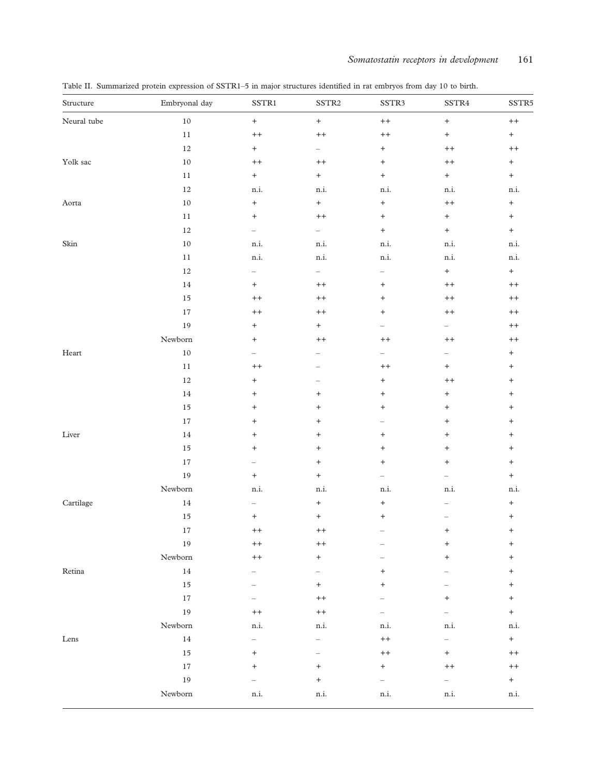| Structure               | Embryonal day | $\text{SSTR1}$                   | SSTR <sub>2</sub>                | SSTR3                    | SSTR4                            | SSTR5                            |
|-------------------------|---------------|----------------------------------|----------------------------------|--------------------------|----------------------------------|----------------------------------|
| Neural tube             | $10\,$        | $\boldsymbol{+}$                 | $\boldsymbol{+}$                 | $++$                     | $\boldsymbol{+}$                 | $\pmb{++}$                       |
|                         | $11\,$        | $+ +$                            | $+ +$                            | $^{++}$                  | $^+$                             | $\pm$                            |
|                         | $12\,$        | $^+$                             | $-$                              | $\boldsymbol{+}$         | $++$                             | $\pmb{++}$                       |
| Yolk sac                | $10\,$        | $+ +$                            | $+ +$                            | $^{+}$                   | $\qquad \qquad +$                | $+$                              |
|                         | $11\,$        | $\qquad \qquad +$                | $\boldsymbol{+}$                 | $\qquad \qquad +$        | $\pm$                            | $+$                              |
|                         | $12\,$        | $\rm n.i.$                       | $\rm n.i.$                       | $\rm n.i.$               | n.i.                             | $\rm n.i.$                       |
| Aorta                   | $10\,$        | $\qquad \qquad +$                | $\boldsymbol{+}$                 | $^{+}$                   | $\qquad \qquad +$                | $\qquad \qquad +$                |
|                         | $11\,$        | $\ddot{}$                        | $+ +$                            | $^{+}$                   | $\qquad \qquad +$                | $^+$                             |
|                         | $12\,$        | $\overline{\phantom{0}}$         | $-$                              | $\qquad \qquad +$        | $+$                              | $+$                              |
| Skin                    | $10\,$        | $\rm n.i.$                       | $\rm n.i.$                       | $\rm n.i.$               | $\rm n.i.$                       | n.i.                             |
|                         | $11\,$        | n.i.                             | n.i.                             | n.i.                     | n.i.                             | n.i.                             |
|                         | $12\,$        | $\qquad \qquad -$                | $\overline{\phantom{0}}$         | $\overline{\phantom{0}}$ | $+$                              | $^+$                             |
|                         | $14\,$        | $\qquad \qquad +$                | $+ +$                            | $\ddot{}$                | $\qquad \qquad +$                | $+ +$                            |
|                         | $15\,$        | $+ +$                            | $+ +$                            | $^{+}$                   | $++$                             | $+ +$                            |
|                         | $17\,$        | $\qquad \qquad +$                | $+ +$                            | $^{+}$                   | $\qquad \qquad +$                | $\pmb{++}$                       |
|                         | 19            | $\, +$                           | $\boldsymbol{+}$                 | $\overline{\phantom{0}}$ | $ \,$                            | $\qquad \qquad +$                |
|                         | Newborn       | $\begin{array}{c} + \end{array}$ | $^{++}$                          | $^{++}$                  | $^{++}$                          | $+ +$                            |
| $\operatorname*{Heart}$ | $10\,$        | $\overline{\phantom{0}}$         |                                  | $\overline{\phantom{0}}$ | $\overline{\phantom{0}}$         | $\qquad \qquad +$                |
|                         | $11\,$        | $+ +$                            |                                  | $+ +$                    | $^+$                             | $\qquad \qquad +$                |
|                         | $12\,$        | $^{+}$                           |                                  | $^{+}$                   | $+ +$                            | $\ddot{}$                        |
|                         | $14\,$        | $^{+}$                           | $\begin{array}{c} + \end{array}$ | $^{+}$                   | $\, +$                           | $\ddot{}$                        |
|                         | $15\,$        | $\ddot{}$                        | $\! + \!\!\!\!$                  | $^{+}$                   | $^+$                             | $\ddot{}$                        |
|                         | $17\,$        | $\ddot{}$                        | $\begin{array}{c} + \end{array}$ | —                        | $\begin{array}{c} + \end{array}$ | $\begin{array}{c} + \end{array}$ |
| Liver                   | $14\,$        | $\begin{array}{c} + \end{array}$ | $^{+}$                           | $^{+}$                   | $\ddot{}$                        | $\ddot{}$                        |
|                         | $15\,$        | $\ddot{}$                        | $\begin{array}{c} + \end{array}$ | $\ddot{}$                | $^{+}$                           | $\ddot{}$                        |
|                         | $17\,$        |                                  | $\begin{array}{c} + \end{array}$ | $\ddot{}$                | $\begin{array}{c} + \end{array}$ | $^{+}$                           |
|                         | 19            | $^{+}$                           | $^+$                             | $\overline{\phantom{a}}$ | $\qquad \qquad -$                | $\qquad \qquad +$                |
|                         | Newborn       | $\rm n.i.$                       | $\rm n.i.$                       | $\rm n.i.$               | $\rm n.i.$                       | $\rm n.i.$                       |
| Cartilage               | $14\,$        | $\qquad \qquad -$                | $\begin{array}{c} + \end{array}$ | $^{+}$                   |                                  | $^{+}$                           |
|                         | 15            | $\begin{array}{c} + \end{array}$ | $^{+}$                           | $^{+}$                   | $\overline{\phantom{0}}$         | $\ddot{}$                        |
|                         | $17\,$        | $++$                             | $^{++}$                          |                          | +                                | $\ddot{}$                        |
|                         | 19            | $+ +$                            | $+ +$                            | -                        | $^{+}$                           | $\ddot{}$                        |
|                         | Newborn       | $+ +$                            | $\boldsymbol{+}$                 |                          | $\begin{array}{c} + \end{array}$ | $\begin{array}{c} + \end{array}$ |
| Retina                  | $14\,$        |                                  |                                  | $\pmb{+}$                |                                  | $\ddot{}$                        |
|                         | $15\,$        |                                  | $^{+}$                           | $\ddot{}$                |                                  | $\ddot{}$                        |
|                         | 17            |                                  | $+ +$                            |                          | $\ddot{}$                        | $\qquad \qquad +$                |
|                         | 19            | $+ +$                            | $\qquad \qquad +$                | $\overline{\phantom{0}}$ | $\overline{\phantom{0}}$         | $+$                              |
|                         | Newborn       | n.i.                             | n.i.                             | $\rm n.i.$               | $\rm n.i.$                       | $\rm n.i.$                       |
| Lens                    | $14\,$        | $\overline{\phantom{0}}$         | $\overline{\phantom{0}}$         | $+ +$                    | $\overline{\phantom{0}}$         | $\pm$                            |
|                         | 15            | $^{+}$                           |                                  | $^{++}$                  | $^{+}$                           | $^{++}$                          |
|                         | $17\,$        | $\ddot{}$                        | $\pmb{+}$                        | $^+$                     | $++$                             | $+ +$                            |
|                         | 19            |                                  | $\ddot{}$                        | $\overline{\phantom{0}}$ | $\equiv$                         | $\pm$                            |
|                         | Newborn       | n.i.                             | n.i.                             | n.i.                     | $\rm n.i.$                       | $\rm n.i.$                       |

<span id="page-5-0"></span>Table II. Summarized protein expression of SSTR1–5 in major structures identified in rat embryos from day 10 to birth.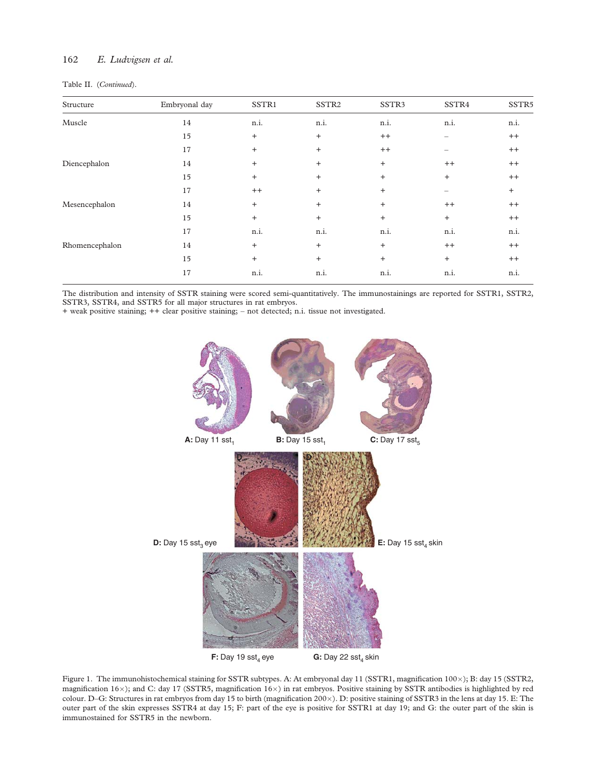# <span id="page-6-0"></span>162 E. Ludvigsen et al.

| Structure      | Embryonal day | SSTR1     | SSTR <sub>2</sub> | SSTR <sub>3</sub> | SSTR4   | SSTR5     |
|----------------|---------------|-----------|-------------------|-------------------|---------|-----------|
| Muscle         | 14            | n.i.      | n.i.              | n.i.              | n.i.    | n.i.      |
|                | 15            | $\ddot{}$ | $\ddot{}$         | $^{++}$           |         | $^{++}$   |
|                | 17            | $\ddot{}$ | $\ddot{}$         | $^{++}$           |         | $^{++}$   |
| Diencephalon   | 14            | $\ddot{}$ | $\ddot{}$         | $\ddot{}$         | $^{++}$ | $^{++}$   |
|                | 15            | $\ddot{}$ | $\ddot{}$         | $+$               | $+$     | $^{++}$   |
|                | 17            | $^{++}$   | $\ddot{}$         | $\ddot{}$         |         | $\ddot{}$ |
| Mesencephalon  | 14            | $\ddot{}$ | $\ddot{}$         | $\ddot{}$         | $^{++}$ | $^{++}$   |
|                | 15            | $\ddot{}$ | $\ddot{}$         | $^{+}$            | $+$     | $^{++}$   |
|                | 17            | n.i.      | n.i.              | n.i.              | n.i.    | n.i.      |
| Rhomencephalon | 14            | $\ddot{}$ | $\ddot{}$         | $^{+}$            | $^{++}$ | $^{++}$   |
|                | 15            | $\ddot{}$ | $\ddot{}$         | $^{+}$            | $+$     | $^{++}$   |
|                | 17            | n.i.      | n.i.              | n.i.              | n.i.    | n.i.      |
|                |               |           |                   |                   |         |           |

The distribution and intensity of SSTR staining were scored semi-quantitatively. The immunostainings are reported for SSTR1, SSTR2, SSTR3, SSTR4, and SSTR5 for all major structures in rat embryos.

+ weak positive staining; ++ clear positive staining; – not detected; n.i. tissue not investigated.



Figure 1. The immunohistochemical staining for SSTR subtypes. A: At embryonal day 11 (SSTR1, magnification 100×); B: day 15 (SSTR2, magnification  $16\times$ ); and C: day 17 (SSTR5, magnification  $16\times$ ) in rat embryos. Positive staining by SSTR antibodies is highlighted by red colour. D-G: Structures in rat embryos from day 15 to birth (magnification 200×). D: positive staining of SSTR3 in the lens at day 15. E: The outer part of the skin expresses SSTR4 at day 15; F: part of the eye is positive for SSTR1 at day 19; and G: the outer part of the skin is immunostained for SSTR5 in the newborn.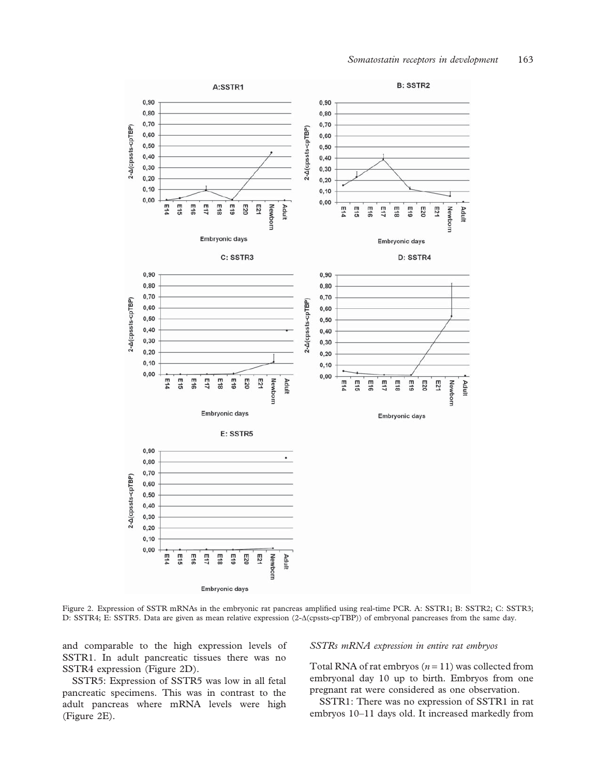<span id="page-7-0"></span>

Figure 2. Expression of SSTR mRNAs in the embryonic rat pancreas amplified using real-time PCR. A: SSTR1; B: SSTR2; C: SSTR3; D: SSTR4; E: SSTR5. Data are given as mean relative expression (2- $\Delta$ (cpssts-cpTBP)) of embryonal pancreases from the same day.

and comparable to the high expression levels of SSTR1. In adult pancreatic tissues there was no SSTR4 expression (Figure 2D).

SSTR5: Expression of SSTR5 was low in all fetal pancreatic specimens. This was in contrast to the adult pancreas where mRNA levels were high (Figure 2E).

#### SSTRs mRNA expression in entire rat embryos

Total RNA of rat embryos  $(n = 11)$  was collected from embryonal day 10 up to birth. Embryos from one pregnant rat were considered as one observation.

SSTR1: There was no expression of SSTR1 in rat embryos 10–11 days old. It increased markedly from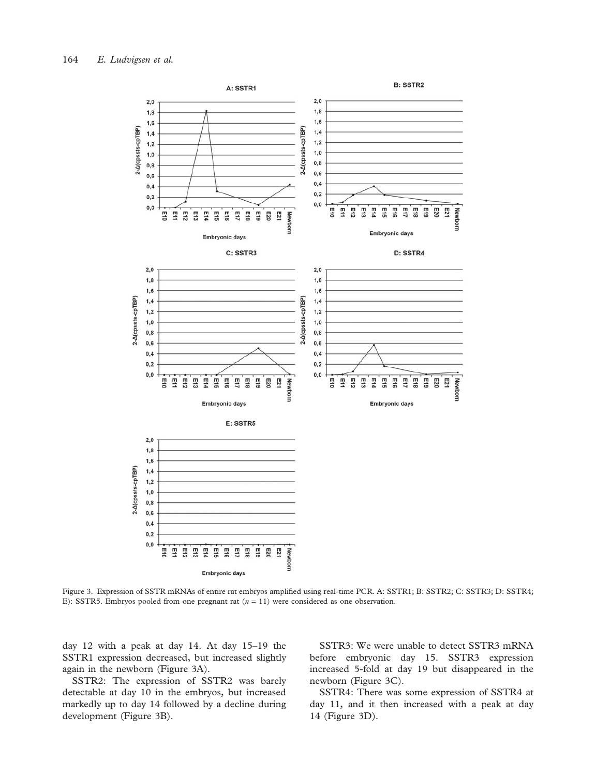<span id="page-8-0"></span>

Figure 3. Expression of SSTR mRNAs of entire rat embryos amplified using real-time PCR. A: SSTR1; B: SSTR2; C: SSTR3; D: SSTR4; E): SSTR5. Embryos pooled from one pregnant rat ( $n = 11$ ) were considered as one observation.

day 12 with a peak at day 14. At day 15–19 the SSTR1 expression decreased, but increased slightly again in the newborn (Figure 3A).

SSTR2: The expression of SSTR2 was barely detectable at day 10 in the embryos, but increased markedly up to day 14 followed by a decline during development (Figure 3B).

SSTR3: We were unable to detect SSTR3 mRNA before embryonic day 15. SSTR3 expression increased 5-fold at day 19 but disappeared in the newborn (Figure 3C).

SSTR4: There was some expression of SSTR4 at day 11, and it then increased with a peak at day 14 (Figure 3D).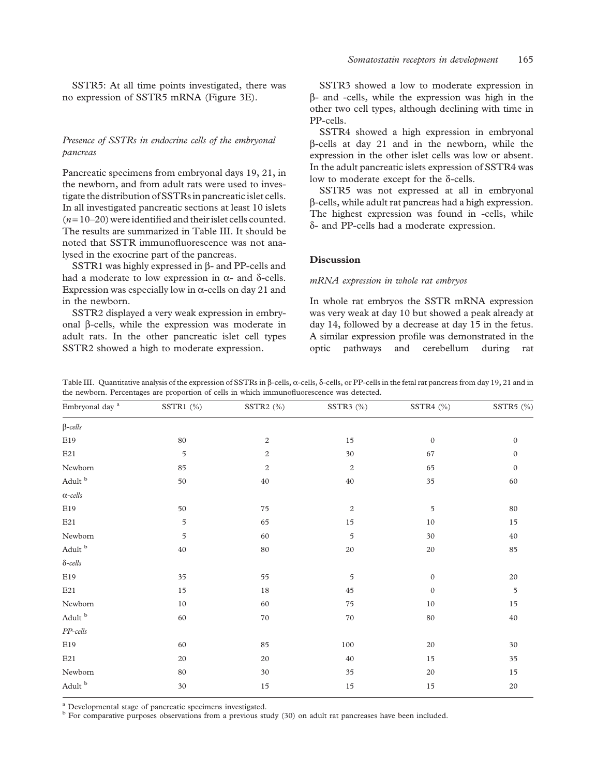<span id="page-9-0"></span>SSTR5: At all time points investigated, there was no expression of SSTR5 mRNA [\(Figure 3E\)](#page-8-0).

# Presence of SSTRs in endocrine cells of the embryonal pancreas

Pancreatic specimens from embryonal days 19, 21, in the newborn, and from adult rats were used to investigate the distribution of SSTRs in pancreatic islet cells. In all investigated pancreatic sections at least 10 islets  $(n=10-20)$  were identified and their islet cells counted. The results are summarized in Table III. It should be noted that SSTR immunofluorescence was not analysed in the exocrine part of the pancreas.

SSTR1 was highly expressed in  $\beta$ - and PP-cells and had a moderate to low expression in  $\alpha$ - and  $\delta$ -cells. Expression was especially low in  $\alpha$ -cells on day 21 and in the newborn.

SSTR2 displayed a very weak expression in embryonal b-cells, while the expression was moderate in adult rats. In the other pancreatic islet cell types SSTR2 showed a high to moderate expression.

SSTR3 showed a low to moderate expression in b- and -cells, while the expression was high in the other two cell types, although declining with time in PP-cells.

SSTR4 showed a high expression in embryonal b-cells at day 21 and in the newborn, while the expression in the other islet cells was low or absent. In the adult pancreatic islets expression of SSTR4 was low to moderate except for the  $\delta$ -cells.

SSTR5 was not expressed at all in embryonal b-cells, while adult rat pancreas had a high expression. The highest expression was found in -cells, while d- and PP-cells had a moderate expression.

## Discussion

#### mRNA expression in whole rat embryos

In whole rat embryos the SSTR mRNA expression was very weak at day 10 but showed a peak already at day 14, followed by a decrease at day 15 in the fetus. A similar expression profile was demonstrated in the optic pathways and cerebellum during rat

| Table III. Quantitative analysis of the expression of SSTRs in $\beta$ -cells, $\alpha$ -cells, $\delta$ -cells, or PP-cells in the fetal rat pancreas from day 19, 21 and in |  |  |
|-------------------------------------------------------------------------------------------------------------------------------------------------------------------------------|--|--|
| the newborn. Percentages are proportion of cells in which immunofluorescence was detected.                                                                                    |  |  |

| Embryonal day $^{\rm a}$              | SSTR1 (%)     | SSTR2 (%)        | SSTR3 (%)               | SSTR4 (%)    | SSTR5 (%)        |
|---------------------------------------|---------------|------------------|-------------------------|--------------|------------------|
| $\beta$ -cells                        |               |                  |                         |              |                  |
| E19                                   | 80            | $\mathbf{2}$     | 15                      | $\mathbf{0}$ | $\mathbf{0}$     |
| $\rm E21$                             | 5             | $\boldsymbol{2}$ | 30                      | 67           | $\mathbf{0}$     |
| ${\hbox{Newton}}$                     | 85            | $\boldsymbol{2}$ | $\overline{\mathbf{c}}$ | 65           | $\boldsymbol{0}$ |
| $\mbox{Adult}^{\mbox{\scriptsize b}}$ | 50            | 40               | $40\,$                  | 35           | $60\,$           |
| $\alpha\text{-}cells$                 |               |                  |                         |              |                  |
| $\rm E19$                             | 50            | 75               | $\sqrt{2}$              | 5            | $80\,$           |
| $\rm E21$                             | $\mathfrak s$ | 65               | $15\,$                  | $10\,$       | 15               |
| Newborn                               | 5             | 60               | 5                       | $30\,$       | $40\,$           |
| $\mbox{Adult}^{\mbox{\scriptsize b}}$ | $40\,$        | $80\,$           | $20\,$                  | $20\,$       | 85               |
| $\delta\textit{-cells}$               |               |                  |                         |              |                  |
| E19                                   | 35            | 55               | 5                       | $\mathbf{0}$ | $20\,$           |
| $\rm E21$                             | 15            | 18               | 45                      | $\mathbf{0}$ | 5                |
| ${\hbox{Newton}}$                     | $10\,$        | 60               | $75\,$                  | $10\,$       | 15               |
| $\mbox{Adult}^{\mbox{\scriptsize b}}$ | 60            | $70\,$           | 70                      | $80\,$       | $40\,$           |
| $\cal PP\mbox{-}cells$                |               |                  |                         |              |                  |
| $\rm E19$                             | 60            | 85               | $100\,$                 | $20\,$       | $30\,$           |
| E21                                   | 20            | 20               | $40\,$                  | 15           | 35               |
| Newborn                               | 80            | 30               | 35                      | $20\,$       | $15\,$           |
| Adult b                               | $30\,$        | 15               | 15                      | 15           | $20\,$           |

<sup>a</sup> Developmental stage of pancreatic specimens investigated.<br><sup>b</sup> For comparative purposes observations from a previous study ([30](#page-12-0)) on adult rat pancreases have been included.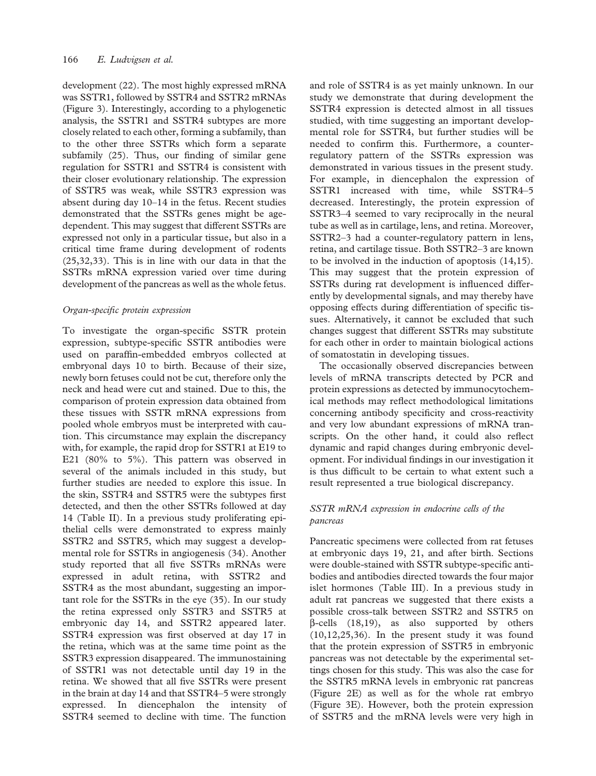development [\(22](#page-12-0)). The most highly expressed mRNA was SSTR1, followed by SSTR4 and SSTR2 mRNAs [\(Figure 3](#page-8-0)). Interestingly, according to a phylogenetic analysis, the SSTR1 and SSTR4 subtypes are more closely related to each other, forming a subfamily, than to the other three SSTRs which form a separate subfamily [\(25](#page-12-0)). Thus, our finding of similar gene regulation for SSTR1 and SSTR4 is consistent with their closer evolutionary relationship. The expression of SSTR5 was weak, while SSTR3 expression was absent during day 10–14 in the fetus. Recent studies demonstrated that the SSTRs genes might be agedependent. This may suggest that different SSTRs are expressed not only in a particular tissue, but also in a critical time frame during development of rodents [\(25,32,33](#page-12-0)). This is in line with our data in that the SSTRs mRNA expression varied over time during development of the pancreas as well as the whole fetus.

#### Organ-specific protein expression

To investigate the organ-specific SSTR protein expression, subtype-specific SSTR antibodies were used on paraffin-embedded embryos collected at embryonal days 10 to birth. Because of their size, newly born fetuses could not be cut, therefore only the neck and head were cut and stained. Due to this, the comparison of protein expression data obtained from these tissues with SSTR mRNA expressions from pooled whole embryos must be interpreted with caution. This circumstance may explain the discrepancy with, for example, the rapid drop for SSTR1 at E19 to E21 (80% to 5%). This pattern was observed in several of the animals included in this study, but further studies are needed to explore this issue. In the skin, SSTR4 and SSTR5 were the subtypes first detected, and then the other SSTRs followed at day 14 [\(Table II\)](#page-5-0). In a previous study proliferating epithelial cells were demonstrated to express mainly SSTR2 and SSTR5, which may suggest a developmental role for SSTRs in angiogenesis ([34\)](#page-12-0). Another study reported that all five SSTRs mRNAs were expressed in adult retina, with SSTR2 and SSTR4 as the most abundant, suggesting an important role for the SSTRs in the eye [\(35\)](#page-12-0). In our study the retina expressed only SSTR3 and SSTR5 at embryonic day 14, and SSTR2 appeared later. SSTR4 expression was first observed at day 17 in the retina, which was at the same time point as the SSTR3 expression disappeared. The immunostaining of SSTR1 was not detectable until day 19 in the retina. We showed that all five SSTRs were present in the brain at day 14 and that SSTR4–5 were strongly expressed. In diencephalon the intensity of SSTR4 seemed to decline with time. The function

and role of SSTR4 is as yet mainly unknown. In our study we demonstrate that during development the SSTR4 expression is detected almost in all tissues studied, with time suggesting an important developmental role for SSTR4, but further studies will be needed to confirm this. Furthermore, a counterregulatory pattern of the SSTRs expression was demonstrated in various tissues in the present study. For example, in diencephalon the expression of SSTR1 increased with time, while SSTR4–5 decreased. Interestingly, the protein expression of SSTR3–4 seemed to vary reciprocally in the neural tube as well as in cartilage, lens, and retina. Moreover, SSTR2–3 had a counter-regulatory pattern in lens, retina, and cartilage tissue. Both SSTR2–3 are known to be involved in the induction of apoptosis [\(14,15\)](#page-12-0). This may suggest that the protein expression of SSTRs during rat development is influenced differently by developmental signals, and may thereby have opposing effects during differentiation of specific tissues. Alternatively, it cannot be excluded that such changes suggest that different SSTRs may substitute for each other in order to maintain biological actions of somatostatin in developing tissues.

The occasionally observed discrepancies between levels of mRNA transcripts detected by PCR and protein expressions as detected by immunocytochemical methods may reflect methodological limitations concerning antibody specificity and cross-reactivity and very low abundant expressions of mRNA transcripts. On the other hand, it could also reflect dynamic and rapid changes during embryonic development. For individual findings in our investigation it is thus difficult to be certain to what extent such a result represented a true biological discrepancy.

# SSTR mRNA expression in endocrine cells of the pancreas

Pancreatic specimens were collected from rat fetuses at embryonic days 19, 21, and after birth. Sections were double-stained with SSTR subtype-specific antibodies and antibodies directed towards the four major islet hormones ([Table III\)](#page-9-0). In a previous study in adult rat pancreas we suggested that there exists a possible cross-talk between SSTR2 and SSTR5 on  $\beta$ -cells [\(18,19\)](#page-12-0), as also supported by others ([10](#page-11-0)[,12](#page-12-0),[25,36\)](#page-12-0). In the present study it was found that the protein expression of SSTR5 in embryonic pancreas was not detectable by the experimental settings chosen for this study. This was also the case for the SSTR5 mRNA levels in embryonic rat pancreas ([Figure 2E\)](#page-7-0) as well as for the whole rat embryo ([Figure 3E](#page-8-0)). However, both the protein expression of SSTR5 and the mRNA levels were very high in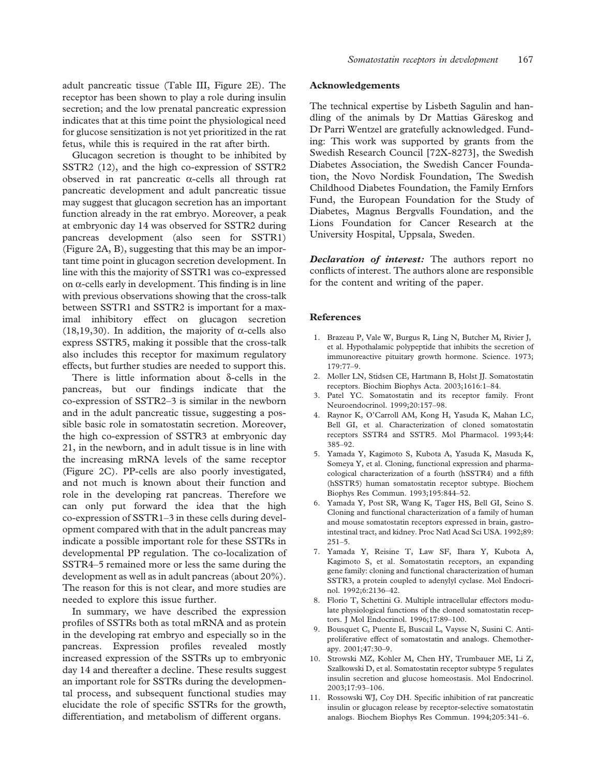<span id="page-11-0"></span>adult pancreatic tissue [\(Table III,](#page-9-0) [Figure 2E\)](#page-7-0). The receptor has been shown to play a role during insulin secretion; and the low prenatal pancreatic expression indicates that at this time point the physiological need for glucose sensitization is not yet prioritized in the rat fetus, while this is required in the rat after birth.

Glucagon secretion is thought to be inhibited by SSTR2 [\(12](#page-12-0)), and the high co-expression of SSTR2 observed in rat pancreatic  $\alpha$ -cells all through rat pancreatic development and adult pancreatic tissue may suggest that glucagon secretion has an important function already in the rat embryo. Moreover, a peak at embryonic day 14 was observed for SSTR2 during pancreas development (also seen for SSTR1) ([Figure 2A, B](#page-7-0)), suggesting that this may be an important time point in glucagon secretion development. In line with this the majority of SSTR1 was co-expressed on  $\alpha$ -cells early in development. This finding is in line with previous observations showing that the cross-talk between SSTR1 and SSTR2 is important for a maximal inhibitory effect on glucagon secretion ([18,19,30\)](#page-12-0). In addition, the majority of  $\alpha$ -cells also express SSTR5, making it possible that the cross-talk also includes this receptor for maximum regulatory effects, but further studies are needed to support this.

There is little information about  $\delta$ -cells in the pancreas, but our findings indicate that the co-expression of SSTR2–3 is similar in the newborn and in the adult pancreatic tissue, suggesting a possible basic role in somatostatin secretion. Moreover, the high co-expression of SSTR3 at embryonic day 21, in the newborn, and in adult tissue is in line with the increasing mRNA levels of the same receptor ([Figure 2C](#page-7-0)). PP-cells are also poorly investigated, and not much is known about their function and role in the developing rat pancreas. Therefore we can only put forward the idea that the high co-expression of SSTR1–3 in these cells during development compared with that in the adult pancreas may indicate a possible important role for these SSTRs in developmental PP regulation. The co-localization of SSTR4–5 remained more or less the same during the development as well as in adult pancreas (about 20%). The reason for this is not clear, and more studies are needed to explore this issue further.

In summary, we have described the expression profiles of SSTRs both as total mRNA and as protein in the developing rat embryo and especially so in the pancreas. Expression profiles revealed mostly increased expression of the SSTRs up to embryonic day 14 and thereafter a decline. These results suggest an important role for SSTRs during the developmental process, and subsequent functional studies may elucidate the role of specific SSTRs for the growth, differentiation, and metabolism of different organs.

#### Acknowledgements

The technical expertise by Lisbeth Sagulin and handling of the animals by Dr Mattias Gäreskog and Dr Parri Wentzel are gratefully acknowledged. Funding: This work was supported by grants from the Swedish Research Council [72X-8273], the Swedish Diabetes Association, the Swedish Cancer Foundation, the Novo Nordisk Foundation, The Swedish Childhood Diabetes Foundation, the Family Ernfors Fund, the European Foundation for the Study of Diabetes, Magnus Bergvalls Foundation, and the Lions Foundation for Cancer Research at the University Hospital, Uppsala, Sweden.

Declaration of interest: The authors report no conflicts of interest. The authors alone are responsible for the content and writing of the paper.

#### References

- 1. Brazeau P, Vale W, Burgus R, Ling N, Butcher M, Rivier J, et al. Hypothalamic polypeptide that inhibits the secretion of immunoreactive pituitary growth hormone. Science. 1973; 179:77–9.
- 2. Moller LN, Stidsen CE, Hartmann B, Holst JJ. Somatostatin receptors. Biochim Biophys Acta. 2003;1616:1–84.
- 3. Patel YC. Somatostatin and its receptor family. Front Neuroendocrinol. 1999;20:157–98.
- 4. Raynor K, O'Carroll AM, Kong H, Yasuda K, Mahan LC, Bell GI, et al. Characterization of cloned somatostatin receptors SSTR4 and SSTR5. Mol Pharmacol. 1993;44: 385–92.
- 5. Yamada Y, Kagimoto S, Kubota A, Yasuda K, Masuda K, Someya Y, et al. Cloning, functional expression and pharmacological characterization of a fourth (hSSTR4) and a fifth (hSSTR5) human somatostatin receptor subtype. Biochem Biophys Res Commun. 1993;195:844–52.
- 6. Yamada Y, Post SR, Wang K, Tager HS, Bell GI, Seino S. Cloning and functional characterization of a family of human and mouse somatostatin receptors expressed in brain, gastrointestinal tract, and kidney. Proc Natl Acad Sci USA. 1992;89:  $251 - 5.$
- 7. Yamada Y, Reisine T, Law SF, Ihara Y, Kubota A, Kagimoto S, et al. Somatostatin receptors, an expanding gene family: cloning and functional characterization of human SSTR3, a protein coupled to adenylyl cyclase. Mol Endocrinol. 1992;6:2136–42.
- 8. Florio T, Schettini G. Multiple intracellular effectors modulate physiological functions of the cloned somatostatin receptors. J Mol Endocrinol. 1996;17:89–100.
- 9. Bousquet C, Puente E, Buscail L, Vaysse N, Susini C. Antiproliferative effect of somatostatin and analogs. Chemotherapy. 2001;47:30–9.
- 10. Strowski MZ, Kohler M, Chen HY, Trumbauer ME, Li Z, Szalkowski D, et al. Somatostatin receptor subtype 5 regulates insulin secretion and glucose homeostasis. Mol Endocrinol. 2003;17:93–106.
- 11. Rossowski WJ, Coy DH. Specific inhibition of rat pancreatic insulin or glucagon release by receptor-selective somatostatin analogs. Biochem Biophys Res Commun. 1994;205:341–6.